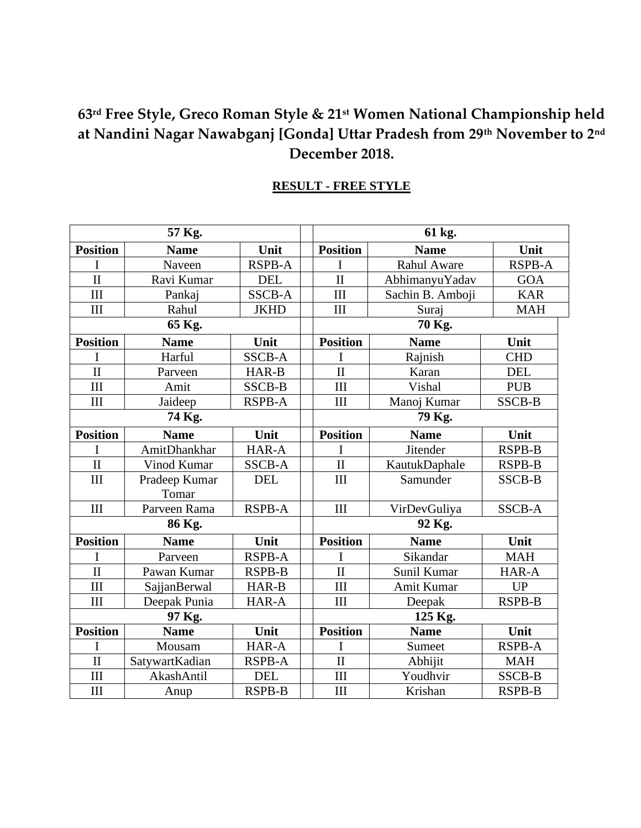### **63rd Free Style, Greco Roman Style & 21st Women National Championship held at Nandini Nagar Nawabganj [Gonda] Uttar Pradesh from 29th November to 2nd December 2018.**

#### **RESULT - FREE STYLE**

| 57 Kg.              |                |               |  | 61 kg.                  |                    |               |  |
|---------------------|----------------|---------------|--|-------------------------|--------------------|---------------|--|
| <b>Position</b>     | <b>Name</b>    | Unit          |  | <b>Position</b>         | <b>Name</b>        | Unit          |  |
| I                   | Naveen         | <b>RSPB-A</b> |  | T                       | Rahul Aware        | <b>RSPB-A</b> |  |
| $\overline{\rm II}$ | Ravi Kumar     | <b>DEL</b>    |  | $\mathbf{I}$            | AbhimanyuYadav     | <b>GOA</b>    |  |
| III                 | Pankaj         | <b>SSCB-A</b> |  | III                     | Sachin B. Amboji   | <b>KAR</b>    |  |
| III                 | Rahul          | <b>JKHD</b>   |  | III                     | Suraj              | <b>MAH</b>    |  |
| 65 Kg.              |                |               |  | 70 Kg.                  |                    |               |  |
| <b>Position</b>     | <b>Name</b>    | Unit          |  | <b>Position</b>         | <b>Name</b>        | Unit          |  |
| T                   | Harful         | <b>SSCB-A</b> |  | T                       | Rajnish            | <b>CHD</b>    |  |
| $\overline{\rm II}$ | Parveen        | HAR-B         |  | $\mathbf{I}$            | Karan              | <b>DEL</b>    |  |
| III                 | Amit           | <b>SSCB-B</b> |  | III                     | Vishal             | <b>PUB</b>    |  |
| III                 | Jaideep        | <b>RSPB-A</b> |  | III                     | Manoj Kumar        | <b>SSCB-B</b> |  |
| 74 Kg.              |                |               |  | 79 Kg.                  |                    |               |  |
| <b>Position</b>     | <b>Name</b>    | Unit          |  | <b>Position</b>         | <b>Name</b>        | Unit          |  |
| I                   | AmitDhankhar   | HAR-A         |  | I                       | <b>Jitender</b>    | <b>RSPB-B</b> |  |
| $\overline{\rm II}$ | Vinod Kumar    | <b>SSCB-A</b> |  | $\mathbf{I}$            | KautukDaphale      | <b>RSPB-B</b> |  |
| III                 | Pradeep Kumar  | <b>DEL</b>    |  | III                     | Samunder           | <b>SSCB-B</b> |  |
|                     | Tomar          |               |  |                         |                    |               |  |
| III                 | Parveen Rama   | <b>RSPB-A</b> |  | III                     | VirDevGuliya       | <b>SSCB-A</b> |  |
| 86 Kg.              |                |               |  | 92 Kg.                  |                    |               |  |
| <b>Position</b>     | <b>Name</b>    | Unit          |  | <b>Position</b>         | <b>Name</b>        | Unit          |  |
| I                   | Parveen        | <b>RSPB-A</b> |  | I                       | Sikandar           | <b>MAH</b>    |  |
| $\overline{\rm II}$ | Pawan Kumar    | <b>RSPB-B</b> |  | $\overline{\mathbf{H}}$ | Sunil Kumar        | HAR-A         |  |
| III                 | SajjanBerwal   | HAR-B         |  | III                     | Amit Kumar         | <b>UP</b>     |  |
| III                 | Deepak Punia   | HAR-A         |  | III                     | Deepak             | <b>RSPB-B</b> |  |
| 97 Kg.              |                |               |  | 125 Kg.                 |                    |               |  |
| <b>Position</b>     | <b>Name</b>    | Unit          |  | <b>Position</b>         | <b>Name</b>        | Unit          |  |
| I                   | Mousam         | HAR-A         |  | <sup>T</sup>            | Sumeet             | <b>RSPB-A</b> |  |
| $\mathbf{I}$        | SatywartKadian | <b>RSPB-A</b> |  | $\mathbf{I}$            | Abhijit            | <b>MAH</b>    |  |
| III                 | AkashAntil     | <b>DEL</b>    |  | III                     | Youdhvir<br>SSCB-B |               |  |
| $\rm III$           | Anup           | <b>RSPB-B</b> |  | III                     | Krishan            | <b>RSPB-B</b> |  |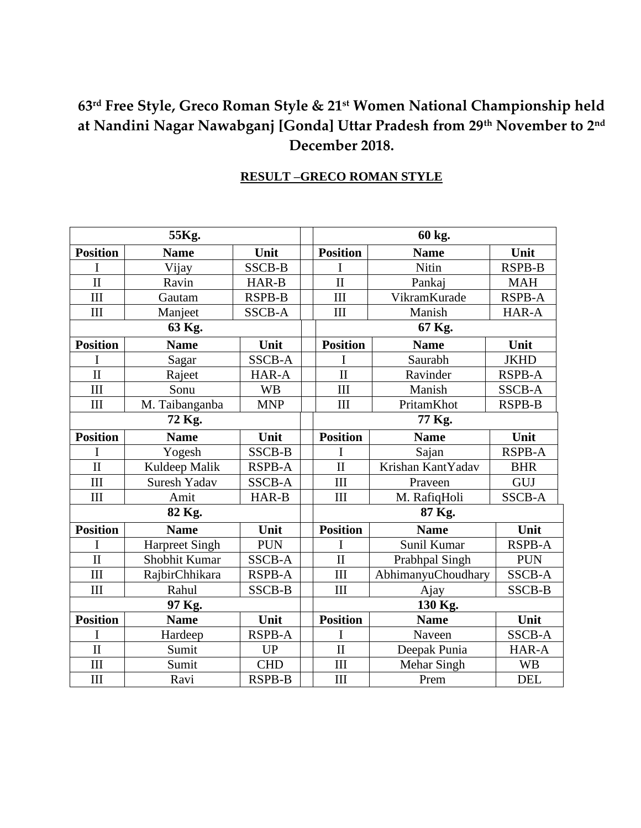## **63rd Free Style, Greco Roman Style & 21st Women National Championship held at Nandini Nagar Nawabganj [Gonda] Uttar Pradesh from 29th November to 2nd December 2018.**

| 55Kg.                   |                       |               |  | 60 kg.                         |                          |               |  |
|-------------------------|-----------------------|---------------|--|--------------------------------|--------------------------|---------------|--|
| <b>Position</b>         | <b>Name</b>           | Unit          |  | <b>Position</b>                | <b>Name</b>              | Unit          |  |
|                         | Vijay                 | <b>SSCB-B</b> |  | I                              | Nitin                    | <b>RSPB-B</b> |  |
| $\mathbf{I}$            | Ravin                 | HAR-B         |  | $\overline{\mathbf{u}}$        | Pankaj                   | <b>MAH</b>    |  |
| III                     | Gautam                | <b>RSPB-B</b> |  | VikramKurade<br>III            |                          | <b>RSPB-A</b> |  |
| III                     | Manjeet               | <b>SSCB-A</b> |  | III                            | Manish                   | HAR-A         |  |
| 63 Kg.                  |                       |               |  | 67 Kg.                         |                          |               |  |
| <b>Position</b>         | <b>Name</b>           | Unit          |  | <b>Position</b>                | <b>Name</b>              | Unit          |  |
| $\mathbf I$             | Sagar                 | <b>SSCB-A</b> |  | I                              | Saurabh                  | <b>JKHD</b>   |  |
| $\overline{\mathbf{H}}$ | Rajeet                | HAR-A         |  | $\mathbf{I}$                   | Ravinder                 | <b>RSPB-A</b> |  |
| III                     | Sonu                  | <b>WB</b>     |  | III                            | Manish                   | <b>SSCB-A</b> |  |
| III                     | M. Taibanganba        | <b>MNP</b>    |  | $\rm III$<br>PritamKhot        |                          | <b>RSPB-B</b> |  |
| 72 Kg.                  |                       |               |  | 77 Kg.                         |                          |               |  |
| <b>Position</b>         | <b>Name</b>           | Unit          |  | <b>Position</b>                | <b>Name</b>              | Unit          |  |
|                         | Yogesh                | <b>SSCB-B</b> |  | I                              | Sajan                    | <b>RSPB-A</b> |  |
| $\overline{\rm II}$     | Kuldeep Malik         | <b>RSPB-A</b> |  | $\overline{\rm II}$            | Krishan KantYadav        | <b>BHR</b>    |  |
| III                     | Suresh Yadav          | <b>SSCB-A</b> |  | III                            | Praveen                  | GUJ           |  |
| III                     | Amit                  | HAR-B         |  | III                            | M. RafiqHoli             | <b>SSCB-A</b> |  |
| 82 Kg.                  |                       |               |  | 87 Kg.                         |                          |               |  |
| <b>Position</b>         | <b>Name</b>           | Unit          |  | <b>Position</b>                | <b>Name</b>              | Unit          |  |
| I                       | <b>Harpreet Singh</b> | <b>PUN</b>    |  | I                              | Sunil Kumar              | <b>RSPB-A</b> |  |
| $\mathbf{I}$            | Shobhit Kumar         | <b>SSCB-A</b> |  | $\overline{\rm II}$            | Prabhpal Singh           | <b>PUN</b>    |  |
| III                     | RajbirChhikara        | <b>RSPB-A</b> |  | III                            | AbhimanyuChoudhary       | <b>SSCB-A</b> |  |
| III                     | Rahul                 | <b>SSCB-B</b> |  | III                            | Ajay                     | <b>SSCB-B</b> |  |
| 97 Kg.                  |                       |               |  | 130 Kg.                        |                          |               |  |
| <b>Position</b>         | <b>Name</b>           | Unit          |  | <b>Position</b><br><b>Name</b> |                          | Unit          |  |
| I                       | Hardeep               | <b>RSPB-A</b> |  | I                              | Naveen                   | SSCB-A        |  |
| $\overline{\rm II}$     | Sumit                 | <b>UP</b>     |  | $\overline{\rm II}$            | Deepak Punia             | HAR-A         |  |
| III                     | Sumit                 | <b>CHD</b>    |  | III                            | Mehar Singh<br><b>WB</b> |               |  |
| III                     | Ravi                  | <b>RSPB-B</b> |  | III                            | <b>DEL</b><br>Prem       |               |  |

### **RESULT –GRECO ROMAN STYLE**